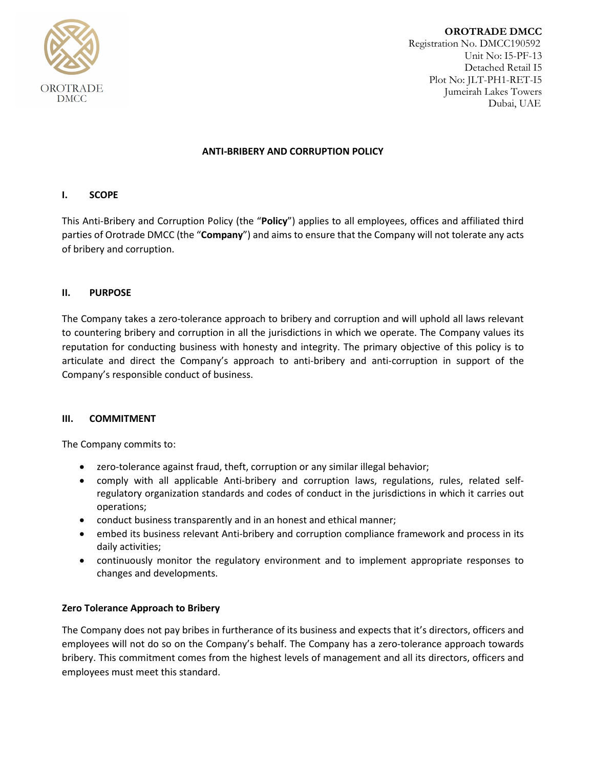

**OROTRADE DMCC** Registration No. DMCC190592 Unit No: I5-PF-13 Detached Retail I5 Plot No: JLT-PH1-RET-I5 Jumeirah Lakes Towers Dubai, UAE

## **ANTI-BRIBERY AND CORRUPTION POLICY**

# **I. SCOPE**

This Anti-Bribery and Corruption Policy (the "**Policy**") applies to all employees, offices and affiliated third parties of Orotrade DMCC (the "**Company**") and aims to ensure that the Company will not tolerate any acts of bribery and corruption.

# **II. PURPOSE**

The Company takes a zero-tolerance approach to bribery and corruption and will uphold all laws relevant to countering bribery and corruption in all the jurisdictions in which we operate. The Company values its reputation for conducting business with honesty and integrity. The primary objective of this policy is to articulate and direct the Company's approach to anti-bribery and anti-corruption in support of the Company's responsible conduct of business.

### **III. COMMITMENT**

The Company commits to:

- zero-tolerance against fraud, theft, corruption or any similar illegal behavior;
- comply with all applicable Anti-bribery and corruption laws, regulations, rules, related selfregulatory organization standards and codes of conduct in the jurisdictions in which it carries out operations;
- conduct business transparently and in an honest and ethical manner;
- embed its business relevant Anti-bribery and corruption compliance framework and process in its daily activities;
- continuously monitor the regulatory environment and to implement appropriate responses to changes and developments.

# **Zero Tolerance Approach to Bribery**

The Company does not pay bribes in furtherance of its business and expects that it's directors, officers and employees will not do so on the Company's behalf. The Company has a zero-tolerance approach towards bribery. This commitment comes from the highest levels of management and all its directors, officers and employees must meet this standard.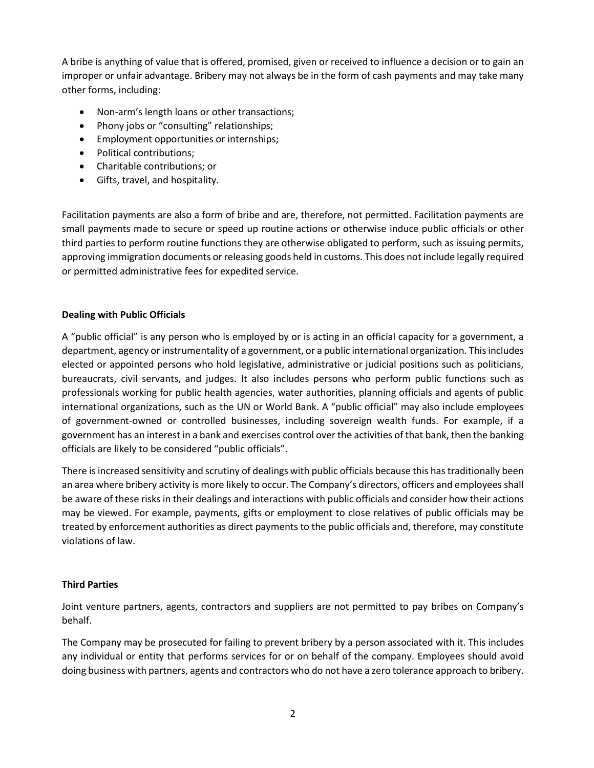A bribe is anything of value that is offered, promised, given or received to influence a decision or to gain an improper or unfair advantage. Bribery may not always be in the form of cash payments and may take many other forms, including:

- Non-arm's length loans or other transactions;
- Phony jobs or "consulting" relationships;
- Employment opportunities or internships;
- Political contributions;
- Charitable contributions; or
- Gifts, travel, and hospitality.

Facilitation payments are also a form of bribe and are, therefore, not permitted. Facilitation payments are small payments made to secure or speed up routine actions or otherwise induce public officials or other third parties to perform routine functions they are otherwise obligated to perform, such as issuing permits, approving immigration documents orreleasing goods held in customs. This does not include legally required or permitted administrative fees for expedited service.

### **Dealing with Public Officials**

A "public official" is any person who is employed by or is acting in an official capacity for a government, a department, agency or instrumentality of a government, or a public international organization. This includes elected or appointed persons who hold legislative, administrative or judicial positions such as politicians, bureaucrats, civil servants, and judges. It also includes persons who perform public functions such as professionals working for public health agencies, water authorities, planning officials and agents of public international organizations, such as the UN or World Bank. A "public official" may also include employees of government-owned or controlled businesses, including sovereign wealth funds. For example, if a government has an interest in a bank and exercises control over the activities of that bank, then the banking officials are likely to be considered "public officials".

There is increased sensitivity and scrutiny of dealings with public officials because this has traditionally been an area where bribery activity is more likely to occur. The Company's directors, officers and employees shall be aware of these risks in their dealings and interactions with public officials and consider how their actions may be viewed. For example, payments, gifts or employment to close relatives of public officials may be treated by enforcement authorities as direct payments to the public officials and, therefore, may constitute violations of law.

### **Third Parties**

Joint venture partners, agents, contractors and suppliers are not permitted to pay bribes on Company's behalf.

The Company may be prosecuted for failing to prevent bribery by a person associated with it. This includes any individual or entity that performs services for or on behalf of the company. Employees should avoid doing business with partners, agents and contractors who do not have a zero tolerance approach to bribery.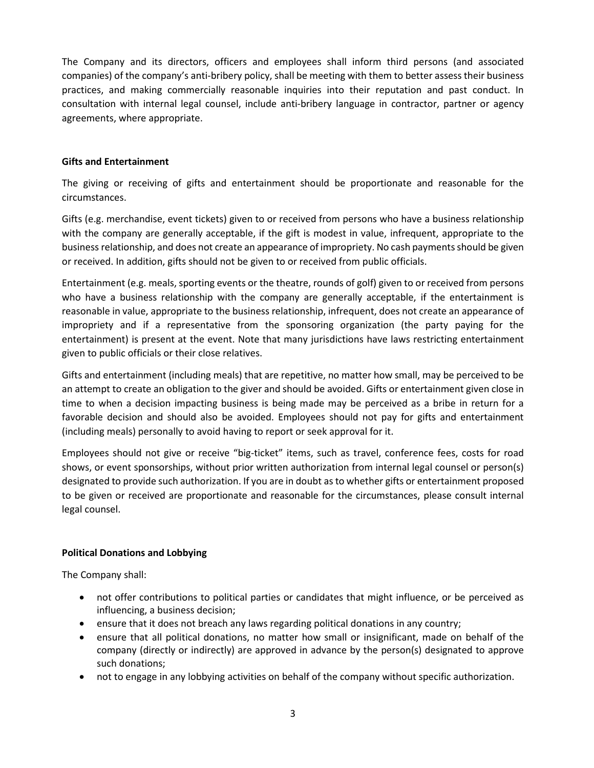The Company and its directors, officers and employees shall inform third persons (and associated companies) of the company's anti-bribery policy, shall be meeting with them to better assess their business practices, and making commercially reasonable inquiries into their reputation and past conduct. In consultation with internal legal counsel, include anti-bribery language in contractor, partner or agency agreements, where appropriate.

## **Gifts and Entertainment**

The giving or receiving of gifts and entertainment should be proportionate and reasonable for the circumstances.

Gifts (e.g. merchandise, event tickets) given to or received from persons who have a business relationship with the company are generally acceptable, if the gift is modest in value, infrequent, appropriate to the business relationship, and does not create an appearance of impropriety. No cash payments should be given or received. In addition, gifts should not be given to or received from public officials.

Entertainment (e.g. meals, sporting events or the theatre, rounds of golf) given to or received from persons who have a business relationship with the company are generally acceptable, if the entertainment is reasonable in value, appropriate to the business relationship, infrequent, does not create an appearance of impropriety and if a representative from the sponsoring organization (the party paying for the entertainment) is present at the event. Note that many jurisdictions have laws restricting entertainment given to public officials or their close relatives.

Gifts and entertainment (including meals) that are repetitive, no matter how small, may be perceived to be an attempt to create an obligation to the giver and should be avoided. Gifts or entertainment given close in time to when a decision impacting business is being made may be perceived as a bribe in return for a favorable decision and should also be avoided. Employees should not pay for gifts and entertainment (including meals) personally to avoid having to report or seek approval for it.

Employees should not give or receive "big-ticket" items, such as travel, conference fees, costs for road shows, or event sponsorships, without prior written authorization from internal legal counsel or person(s) designated to provide such authorization. If you are in doubt as to whether gifts or entertainment proposed to be given or received are proportionate and reasonable for the circumstances, please consult internal legal counsel.

# **Political Donations and Lobbying**

The Company shall:

- not offer contributions to political parties or candidates that might influence, or be perceived as influencing, a business decision;
- ensure that it does not breach any laws regarding political donations in any country;
- ensure that all political donations, no matter how small or insignificant, made on behalf of the company (directly or indirectly) are approved in advance by the person(s) designated to approve such donations;
- not to engage in any lobbying activities on behalf of the company without specific authorization.